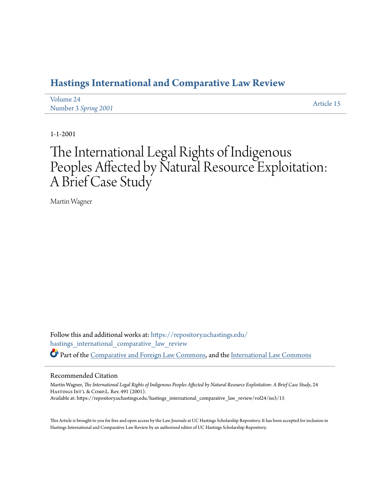# **[Hastings International and Comparative Law Review](https://repository.uchastings.edu/hastings_international_comparative_law_review?utm_source=repository.uchastings.edu%2Fhastings_international_comparative_law_review%2Fvol24%2Fiss3%2F15&utm_medium=PDF&utm_campaign=PDFCoverPages)**

| Volume 24            | Article 15 |
|----------------------|------------|
| Number 3 Spring 2001 |            |

1-1-2001

# The International Legal Rights of Indigenous Peoples Affected by Natural Resource Exploitation: A Brief Case Study

Martin Wagner

Follow this and additional works at: [https://repository.uchastings.edu/](https://repository.uchastings.edu/hastings_international_comparative_law_review?utm_source=repository.uchastings.edu%2Fhastings_international_comparative_law_review%2Fvol24%2Fiss3%2F15&utm_medium=PDF&utm_campaign=PDFCoverPages) [hastings\\_international\\_comparative\\_law\\_review](https://repository.uchastings.edu/hastings_international_comparative_law_review?utm_source=repository.uchastings.edu%2Fhastings_international_comparative_law_review%2Fvol24%2Fiss3%2F15&utm_medium=PDF&utm_campaign=PDFCoverPages) Part of the [Comparative and Foreign Law Commons](http://network.bepress.com/hgg/discipline/836?utm_source=repository.uchastings.edu%2Fhastings_international_comparative_law_review%2Fvol24%2Fiss3%2F15&utm_medium=PDF&utm_campaign=PDFCoverPages), and the [International Law Commons](http://network.bepress.com/hgg/discipline/609?utm_source=repository.uchastings.edu%2Fhastings_international_comparative_law_review%2Fvol24%2Fiss3%2F15&utm_medium=PDF&utm_campaign=PDFCoverPages)

## Recommended Citation

Martin Wagner, *The International Legal Rights of Indigenous Peoples Affected by Natural Resource Exploitation: A Brief Case Study*, 24 HASTINGS INT'L & COMP.L. Rev. 491 (2001). Available at: https://repository.uchastings.edu/hastings\_international\_comparative\_law\_review/vol24/iss3/15

This Article is brought to you for free and open access by the Law Journals at UC Hastings Scholarship Repository. It has been accepted for inclusion in Hastings International and Comparative Law Review by an authorized editor of UC Hastings Scholarship Repository.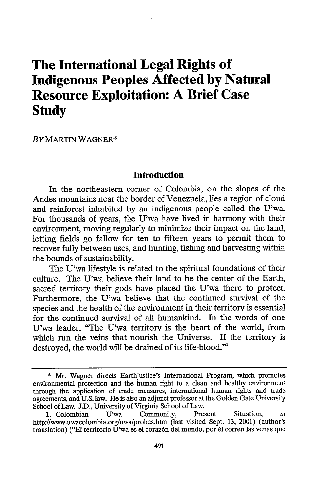# **The International Legal Rights of Indigenous Peoples Affected by Natural Resource Exploitation: A Brief Case Study**

*BY* MARTIN WAGNER\*

## **Introduction**

In the northeastern corner of Colombia, on the slopes of the Andes mountains near the border of Venezuela, lies a region of cloud and rainforest inhabited by an indigenous people called the U'wa. For thousands of years, the U'wa have lived in harmony with their environment, moving regularly to minimize their impact on the land, letting fields go fallow for ten to fifteen years to permit them to recover fully between uses, and hunting, fishing and harvesting within the bounds of sustainability.

The U'wa lifestyle is related to the spiritual foundations of their culture. The U'wa believe their land to be the center of the Earth, sacred territory their gods have placed the U'wa there to protect. Furthermore, the U'wa believe that the continued survival of the species and the health of the environment in their territory is essential for the continued survival of all humankind. In the words of one U'wa leader, "The U'wa territory is the heart of the world, from which run the veins that nourish the Universe. If the territory is destroyed, the world will be drained of its life-blood."'

<sup>\*</sup> Mr. Wagner directs Earthjustice's International Program, which promotes environmental protection and the human right to a clean and healthy environment through the application of trade measures, international human rights and trade agreements, and U.S. law. He is also an adjunct professor at the Golden Gate University School of Law. J.D., University of Virginia School of Law.

<sup>1.</sup> Colombian U'wa Community, Present Situation, *at* http://www.uwacolombia.org/uwa/probes.htm (last visited Sept. 13, 2001) (author's translation) ("El territorio U'wa es el coraz6n del mundo, por *61* corren las venas que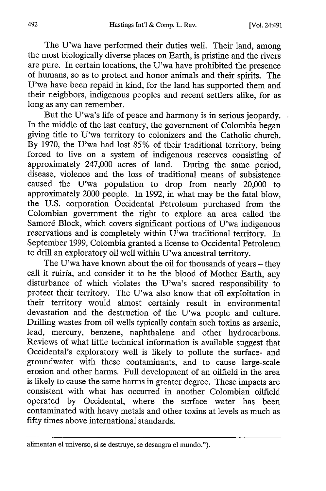The U'wa have performed their duties well. Their land, among the most biologically diverse places on Earth, is pristine and the rivers are pure. In certain locations, the U'wa have prohibited the presence of humans, so as to protect and honor animals and their spirits. The U'wa have been repaid in kind, for the land has supported them and their neighbors, indigenous peoples and recent settlers alike, for as long as any can remember.

But the U'wa's life of peace and harmony is in serious jeopardy. In the middle of the last century, the government of Colombia began giving title to U'wa territory to colonizers and the Catholic church. By 1970, the U'wa had lost 85% of their traditional territory, being forced to live on a system of indigenous reserves consisting of approximately 247,000 acres of land. During the same period, disease, violence and the loss of traditional means of subsistence caused the U'wa population to drop from nearly 20,000 to approximately 2000 people. In 1992, in what may be the fatal blow, the U.S. corporation Occidental Petroleum purchased from the Colombian government the right to explore an area called the Samoré Block, which covers significant portions of U'wa indigenous reservations and is completely within U'wa traditional territory. In September 1999, Colombia granted a license to Occidental Petroleum to drill an exploratory oil well within U'wa ancestral territory.

The U'wa have known about the oil for thousands of years – they call it ruirfa, and consider it to be the blood of Mother Earth, any disturbance of which violates the U'wa's sacred responsibility to protect their territory. The U'wa also know that oil exploitation in their territory would almost certainly result in environmental devastation and the destruction of the U'wa people and culture. Drilling wastes from oil wells typically contain such toxins as arsenic, lead, mercury, benzene, naphthalene and other hydrocarbons. Reviews of what little technical information is available suggest that Occidental's exploratory well is likely to pollute the surface- and groundwater with these contaminants, and to cause large-scale erosion and other harms. Full development of an oilfield in the area is likely to cause the same harms in greater degree. These impacts are consistent with what has occurred in another Colombian oilfield operated by Occidental, where the surface water has been contaminated with heavy metals and other toxins at levels as much as fifty times above international standards.

alimentan el universo, si se destruye, se desangra el mundo.").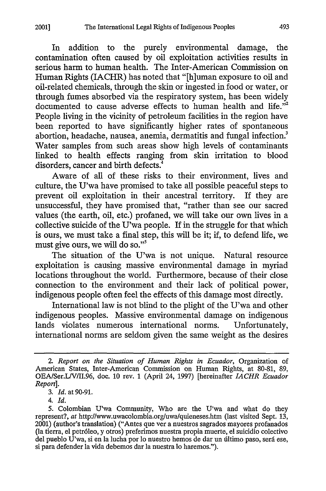In addition to the purely environmental damage, the contamination often caused by oil exploitation activities results in serious harm to human health. The Inter-American Commission on Human Rights (IACHR) has noted that "[h]uman exposure to oil and oil-related chemicals, through the skin or ingested in food or water, or through fumes absorbed via the respiratory system, has been widely documented to cause adverse effects to human health and life."<sup>2</sup> People living in the vicinity of petroleum facilities in the region have been reported to have significantly higher rates of spontaneous abortion, headache, nausea, anemia, dermatitis and fungal infection.<sup>3</sup> Water samples from such areas show high levels of contaminants linked to health effects ranging from skin irritation to blood disorders, cancer and birth defects.<sup>4</sup>

Aware of all of these risks to their environment, lives and culture, the U'wa have promised to take all possible peaceful steps to prevent oil exploitation in their ancestral territory. If they are unsuccessful, they have promised that, "rather than see our sacred values (the earth, oil, etc.) profaned, we will take our own lives in a collective suicide of the U'wa people. If in the struggle for that which is ours, we must take a final step, this will be it; if, to defend life, we must give ours, we will do so."5

The situation of the U'wa is not unique. Natural resource exploitation is causing massive environmental damage in myriad locations throughout the world. Furthermore, because of their close connection to the environment and their lack of political power, indigenous people often feel the effects of this damage most directly.

International law is not blind to the plight of the U'wa and other indigenous peoples. Massive environmental damage on indigenous lands violates numerous international norms. Unfortunately, international norms are seldom given the same weight as the desires

*<sup>2.</sup> Report on the Situation of Human Rights in Ecuador,* Organization of American States, Inter-American Commission on Human Rights, at 80-81, 89, OEA/Ser.LIV/II.96, doc. 10 rev. 1 (April 24, 1997) [hereinafter *IACHR Ecuador Report].*

*<sup>3.</sup> Id.* at 90-91.

*<sup>4.</sup> Id.*

<sup>5.</sup> Colombian U'wa Community, Who are the Uwa and what do they represent?, at http://www.uwacolombia.org/uwa/quieneses.htm (last visited Sept. 13, 2001) (author's translation) ("Antes que ver a nuestros sagrados mayores profanados (la tierra, el petr6leo, y otros) preferimos nuestra propia muerte, el suicidio colectivo del pueblo U'wa, si en la lucha por lo nuestro hemos de dar un último paso, será ese, si para defender la vida debemos dar la nuestra lo haremos.").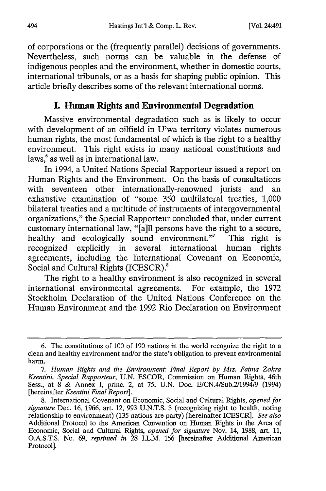of corporations or the (frequently parallel) decisions of governments. Nevertheless, such norms can be valuable in the defense of indigenous peoples and the environment, whether in domestic courts, international tribunals, or as a basis for shaping public opinion. This article briefly describes some of the relevant international norms.

# **I. Human Rights and Environmental Degradation**

Massive environmental degradation such as is likely to occur with development of an oilfield in U'wa territory violates numerous human rights, the most fundamental of which is the right to a healthy environment. This right exists in many national constitutions and laws,<sup>6</sup> as well as in international law.

In 1994, a United Nations Special Rapporteur issued a report on Human Rights and the Environment. On the basis of consultations with seventeen other internationally-renowned jurists and an exhaustive examination of "some 350 multilateral treaties, 1,000 bilateral treaties and a multitude of instruments of intergovernmental organizations," the Special Rapporteur concluded that, under current customary international law, "[a]ll persons have the right to a secure, healthy and ecologically sound environment."<sup>7</sup> This right is recognized explicitly in several international human rights agreements, including the International Covenant on Economic, Social and Cultural Rights (ICESCR).<sup>8</sup>

The right to a healthy environment is also recognized in several international environmental agreements. For example, the 1972 Stockholm Declaration of the United Nations Conference on the Human Environment and the 1992 Rio Declaration on Environment

<sup>6.</sup> The constitutions of 100 of 190 nations in the world recognize the right to a clean and healthy environment and/or the state's obligation to prevent environmental harm.

*<sup>7.</sup> Human Rights and the Environment: Final Report by Mrs. Fatma Zohra Ksentini, Special Rapporteur,* U.N. ESCOR, Commission on Human Rights, 46th Sess., at 8 & Annex I, princ. 2, at 75, U.N. Doc. E/CN.4/Sub.2/1994/9 (1994) [hereinafter *Ksentini Final Report].*

<sup>8.</sup> International Covenant on Economic, Social and Cultural Rights, *opened for signature* Dec. 16, 1966, art. 12, 993 U.N.T.S. 3 (recognizing right to health, noting relationship to environment) (135 nations are party) [hereinafter ICESCR]. *See also* Additional Protocol to the American Convention on Human Rights in the Area of Economic, Social and Cultural Rights, *opened for signature* Nov. 14, 1988, art. 11, O.A.S.T.S. No. 69, *reprinted in* 28 I.L.M. 156 [hereinafter Additional American Protocol].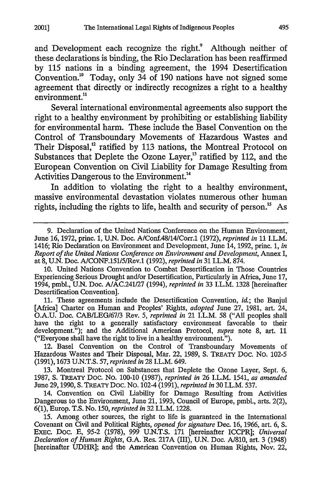2001]

and Development each recognize the right.<sup>9</sup> Although neither of these declarations is binding, the Rio Declaration has been reaffirmed by 115 nations in a binding agreement, the 1994 Desertification Convention.<sup>10</sup> Today, only  $34$  of 190 nations have not signed some agreement that directly or indirectly recognizes a right to a healthy environment.<sup>11</sup>

Several international environmental agreements also support the right to a healthy environment by prohibiting or establishing liability for environmental harm. These include the Basel Convention on the Control of Transboundary Movements of Hazardous Wastes and Their Disposal,<sup>12</sup> ratified by 113 nations, the Montreal Protocol on Substances that Deplete the Ozone Layer,<sup>13</sup> ratified by 112, and the European Convention on Civil Liability for Damage Resulting from Activities Dangerous to the Environment.<sup>14</sup>

In addition to violating the right to a healthy environment, massive environmental devastation violates numerous other human rights, including the rights to life, health and security of person.<sup>15</sup> As

11. These agreements include the Desertification Convention, *id.;* the Banjul [Africa] Charter on Human and Peoples' Rights, *adopted* June 27, 1981, art. 24, O.A.U. Doc. CAB/LEG/67/3 Rev. 5, *reprinted in* 21 I.L.M. 58 ("All peoples shall have the right to a generally satisfactory environment favorable to their development."); and the Additional American Protocol, *supra* note 8, art. 11 ("Everyone shall have the right to live in a healthy environment.").

12. Basel Convention on the Control of Transboundary Movements of Hazardous Wastes and Their Disposal, Mar. 22, 1989, **S.** TREATY Doc. No. 102-5 (1991), 1673 U.N.T.S. 57, *reprinted in* 28 I.L.M. 649.

13. Montreal Protocol on Substances that Deplete the Ozone Layer, Sept. 6, 1987, **S.** TREATY Doc. No. 100-10 (1987), *reprinted in* 26 I.L.M. 1541, *as amended* June 29,1990, S. TREATY Doc. No. 102-4 (1991), *reprinted in* 30 I.L.M. 537.

14. Convention on Civil Liability for Damage Resulting from Activities Dangerous to the Environment, June 21, 1993, Council of Europe, pmbl., arts. 2(2), 6(1), Europ. T.S. No. 150, *reprinted in* 32 I.L.M. 1228.

15. Among other sources, the right to life is guaranteed in the International Covenant on Civil and Political Rights, *opened for signature* Dec. 16, 1966, art. 6, **S.** ExEc. Doc. E, 95-2 (1978), 999 U.N.T.S. 171 [hereinafter ICCPR]; *Universal Declaration of Human Rights,* **G.A.** Res. 217A (III), U.N. Doe. A/810, art. 3 (1948) [hereinafter UDHR]; and the American Convention on Human Rights, Nov. 22,

<sup>9.</sup> Declaration of the United Nations Conference on the Human Environment, June 16, 1972, princ. 1, U.N. Doe. A/Conf.48/14/Corr.1 (1972), *reprinted in* 11 I.L.M. 1416; Rio Declaration on Environment and Development, June 14, 1992, princ. 1, *in Report of the United Nations Conference on Environment and Development,* Annex I, at 8, U.N. Doc. A/CONF.151/5/Rev.1 (1992), *reprinted in* 31 I.L.M. 874.

<sup>10.</sup> United Nations Convention to Combat Desertification in Those Countries Experiencing Serious Drought and/or Desertification, Particularly in Africa, June 17, 1994, pmbl., U.N. Doc. A/AC.241/27 (1994), *reprinted in* 33 I.L.M. 1328 [hereinafter Desertification Convention].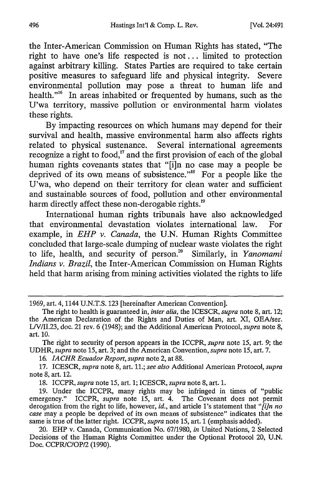the Inter-American Commission on Human Rights has stated, "The right to have one's life respected is not... limited to protection against arbitrary killing. States Parties are required to take certain positive measures to safeguard life and physical integrity. Severe environmental pollution may pose a threat to human life and health."<sup>16</sup> In areas inhabited or frequented by humans, such as the U'wa territory, massive pollution or environmental harm violates these rights.

By impacting resources on which humans may depend for their survival and health, massive environmental harm also affects rights related to physical sustenance. Several international agreements recognize a right to food," and the first provision of each of the global human rights covenants states that "[i]n no case may a people be deprived of its own means of subsistence."<sup>18</sup> For a people like the U'wa, who depend on their territory for clean water and sufficient and sustainable sources of food, pollution and other environmental harm directly affect these non-derogable rights.<sup>19</sup>

International human rights tribunals have also acknowledged that environmental devastation violates international law. For example, in *EHP v. Canada,* the U.N. Human Rights Committee concluded that large-scale dumping of nuclear waste violates the right to life, health, and security of person." Similarly, in *Yanomami Indians v. Brazil,* the Inter-American Commission on Human Rights held that harm arising from mining activities violated the rights to life

16. *IACHR Ecuador Report, supra* note 2, at 88.

<sup>1969,</sup> art. 4, 1144 U.N.T.S. 123 [hereinafter American Convention].

The right to health is guaranteed in, *inter alia,* the ICESCR, *supra* note 8, art. 12; the American Declaration of the Rights and Duties of Man, art. XI, OEA/ser. L/VII.23, doc. 21 rev. 6 (1948); and the Additional American Protocol, *supra* note 8, art. 10.

The right to security of person appears in the ICCPR, *supra* note 15, art. 9; the UDHR, *supra* note 15, art. 3; and the American Convention, *supra* note 15, art. 7.

<sup>17.</sup> ICESCR, *supra* note 8, art. 11.; *see also* Additional American Protocol, *supra* note 8, art. 12.

<sup>18.</sup> ICCPR, *supra* note 15, art. 1; ICESCR, *supra* note 8, art. 1.

<sup>19.</sup> Under the ICCPR, many rights may be infringed in times of "public emergency." ICCPR, *supra* note 15, art. 4. The Covenant does not permit derogation from the right to life, however, *id.,* and article l's statement that *"[in no case* may a people be deprived of its own means of subsistence" indicates that the same is true of the latter right. ICCPR, *supra* note 15, art. 1 (emphasis added).

<sup>20.</sup> EHP v. Canada, Communication No. 67/1980, *in* United Nations, 2 Selected Decisions of the Human Rights Committee under the Optional Protocol 20, U.N. Doc. CCPR/C/OP/2 (1990).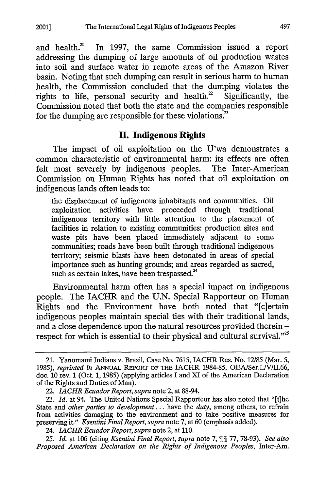and health.<sup>21</sup> In 1997, the same Commission issued a report addressing the dumping of large amounts of oil production wastes into soil and surface water in remote areas of the Amazon River basin. Noting that such dumping can result in serious harm to human health, the Commission concluded that the dumping violates the rights to life, personal security and health.<sup>22</sup> Significantly, the Commission noted that both the state and the companies responsible for the dumping are responsible for these violations.<sup>23</sup>

## **II. Indigenous Rights**

The impact of oil exploitation on the U'wa demonstrates a common characteristic of environmental harm: its effects are often felt most severely by indigenous peoples. The Inter-American Commission on Human Rights has noted that oil exploitation on indigenous lands often leads to:

the displacement of indigenous inhabitants and communities. Oil exploitation activities have proceeded through traditional indigenous territory with little attention to the placement of facilities in relation to existing communities: production sites and waste pits have been placed immediately adjacent to some communities; roads have been built through traditional indigenous territory; seismic blasts have been detonated in areas of special importance such as hunting grounds; and areas regarded as sacred, such as certain lakes, have been trespassed.<sup>24</sup>

Environmental harm often has a special impact on indigenous people. The IACHR and the U.N. Special Rapporteur on Human Rights and the Environment have both noted that "[c]ertain indigenous peoples maintain special ties with their traditional lands, and a close dependence upon the natural resources provided therein respect for which is essential to their physical and cultural survival."<sup>25</sup>

<sup>21.</sup> Yanomami Indians v. Brazil, Case No. 7615, IACHR Res. No. 12/85 (Mar. *5,* 1985), *reprinted in* **ANNUAL REPORT** OF THE IACHR 1984-85, OEA/Ser.LV/II.66, doe. 10 rev. 1 (Oct. 1, 1985) (applying articles I and XI of the American Declaration of the Rights and Duties of Man).

<sup>22.</sup> *IACHR Ecuador Report, supra* note 2, at 88-94.

<sup>23.</sup> *Id.* at 94. The United Nations Special Rapporteur has also noted that "[t]he State and *other parties to development*... have the *duty*, among others, to refrain from activities damaging to the environment and to take positive measures for preserving it." *Ksentini Final Report, supra* note 7, at 60 (emphasis added).

<sup>24.</sup> *IACHR Ecuador Report, supra* note 2, at 110.

<sup>25.</sup> *Id.* at 106 (citing *Ksentini Final Report, supra* note 7, 77, 78-93). *See also Proposed American Declaration on the Rights of Indigenous Peoples,* Inter-Am.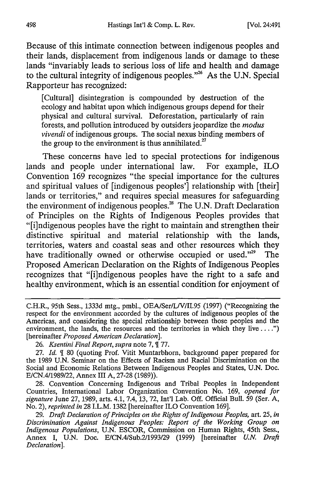Because of this intimate connection between indigenous peoples and their lands, displacement from indigenous lands or damage to these lands "invariably leads to serious loss of life and health and damage to the cultural integrity of indigenous peoples."<sup>26</sup> As the U.N. Special Rapporteur has recognized:

[Cultural] disintegration is compounded by destruction of the ecology and habitat upon which indigenous groups depend for their physical and cultural survival. Deforestation, particularly of rain forests, and pollution introduced by outsiders jeopardize the *modus vivendi* of indigenous groups. The social nexus binding members of the group to the environment is thus annihilated.<sup>27</sup>

These concerns have led to special protections for indigenous lands and people under international law. For example, ILO Convention 169 recognizes "the special importance for the cultures and spiritual values of [indigenous peoples'] relationship with [their] lands or territories," and requires special measures for safeguarding the environment of indigenous peoples.<sup>28</sup> The U.N. Draft Declaration of Principles on the Rights of Indigenous Peoples provides that "[i]ndigenous peoples have the right to maintain and strengthen their distinctive spiritual and material relationship with the lands, territories, waters and coastal seas and other resources which they have traditionally owned or otherwise occupied or used."<sup>29</sup> The Proposed American Declaration on the Rights of Indigenous Peoples recognizes that "[i]ndigenous peoples have the right to a safe and healthy environment, which is an essential condition for enjoyment of

28. Convention Concerning Indigenous and Tribal Peoples in Independent Countries, International Labor Organization Convention No. 169, *opened for signature* June 27, 1989, arts. 4.1, 7.4, 13, 72, Int'l Lab. Off. Official Bull. 59 (Ser. A, No. 2), *reprinted in* 28 I.L.M. 1382 [hereinafter ILO Convention 169].

29. *Draft Declaration of Principles on the Rights of Indigenous Peoples,* art. 25, *in Discrimination Against Indigenous Peoples: Report of the Working Group on Indigenous Populations,* U.N. ESCOR, Commission on Human Rights, 45th Sess., Annex I, U.N. Doc. E/CN.4/Sub.2/1993/29 (1999) [hereinafter *U.N. Draft Declaration].*

C.H.R., 95th Sess., 1333d mtg., pmbl., OEA/Ser/LV/II.95 (1997) ("Recognizing the respect for the environment accorded by the cultures of indigenous peoples of the Americas, and considering the special relationship between those peoples and the environment, the lands, the resources and the territories in which they live ....") [hereinafter *Proposed American Declaration].*

<sup>26.</sup> *Ksentini Final Report, supra* note 7,  $\P$  77.

<sup>27.</sup> *Id.* 80 (quoting Prof. Vitit Muntarbhorn, background paper prepared for the 1989 U.N. Seminar on the Effects of Racism and Racial Discrimination on the Social and Economic Relations Between Indigenous Peoples and States, U.N. Doc. E/CN.4/1989/22, Annex III A, 27-28 (1989)).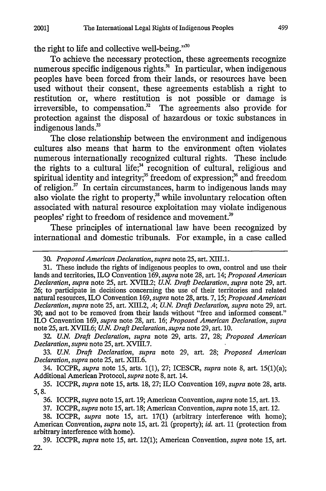the right to life and collective well-being."<sup>30</sup>

To achieve the necessary protection, these agreements recognize numerous specific indigenous rights.<sup>31</sup> In particular, when indigenous peoples have been forced from their lands, or resources have been used without their consent, these agreements establish a right to restitution or, where restitution is not possible or damage is irreversible, to compensation.<sup>32</sup> The agreements also provide for protection against the disposal of hazardous or toxic substances in indigenous lands.<sup>33</sup>

The close relationship between the environment and indigenous cultures also means that harm to the environment often violates numerous internationally recognized cultural rights. These include the rights to a cultural life;<sup>34</sup> recognition of cultural, religious and spiritual identity and integrity;<sup>35</sup> freedom of expression;<sup>36</sup> and freedom of religion.37 In certain circumstances, harm to indigenous lands may also violate the right to property,<sup>38</sup> while involuntary relocation often associated with natural resource exploitation may violate indigenous peoples' right to freedom of residence and movement.<sup>39</sup>

These principles of international law have been recognized **by** international and domestic tribunals. For example, in a case called

34. ICCPR, *supra* note 15, arts. 1(1), 27; ICESCR, *supra* note 8, art. 15(1)(a); Additional American Protocol, *supra* note 8, art. 14.

<sup>30.</sup> *Proposed American Declaration, supra* note 25, art. XIII.1.

<sup>31.</sup> These include the rights of indigenous peoples to own, control and use their lands and territories, ILO Convention 169, *supra* note 28, art. 14; *Proposed American Declaration, supra* note 25, art. XVIII.2; *U.N. Draft Declaration, supra* note 29, art. **26;** to participate in decisions concerning the use of their territories and related natural resources, ILO Convention 169, *supra* note 28, arts. 7, *15; Proposed American Declaration, supra* note 25, art. XIII.2, .4; *U.N. Draft Declaration, supra* note 29, art. 30; and not to be removed from their lands without "free and informed consent." ILO Convention 169, *supra* note 28, art. 16; *Proposed American Declaration, supra* note 25, art. XVIII.6; *U.N. Draft Declaration, supra* note 29, art. 10.

*<sup>32-</sup> U.N. Draft Declaration, supra* note 29, arts. 27, 28; *Proposed American Declaration, supra* note 25, art. XVIII.7.

<sup>33.</sup> *U.N. Draft Declaration, supra* note 29, art. 28; *Proposed American Declaration, supra* note 25, art. XIII.6.

<sup>35.</sup> ICCPR, *supra* note 15, arts. 18, 27; ILO Convention 169, *supra* note 28, arts. 5,8.

<sup>36.</sup> ICCPR, *supra* note 15, art. 19; American Convention, *supra* note 15, art. 13.

<sup>37.</sup> ICCPR, *supra* note 15, art. 18; American Convention, *supra* note 15, art. 12.

<sup>38.</sup> ICCPR, *supra* note 15, art. 17(1) (arbitrary interference with home); American Convention, *supra* note 15, art. 21 (property); *id.* art. 11 (protection from arbitrary interference with home).

<sup>39.</sup> ICCPR, *supra* note 15, art. 12(1); American Convention, *supra* note 15, art. 22.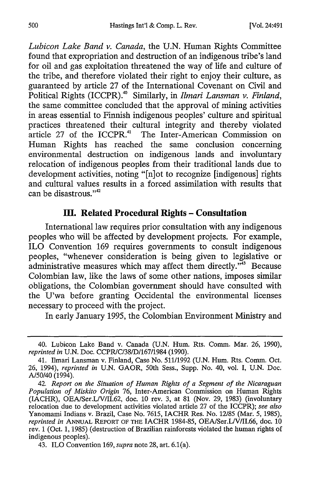*Lubicon Lake Band v. Canada,* the U.N. Human Rights Committee found that expropriation and destruction of an indigenous tribe's land for oil and gas exploitation threatened the way of life and culture of the tribe, and therefore violated their right to enjoy their culture, as guaranteed by article 27 of the International Covenant on Civil and Political Rights (ICCPR)." Similarly, in *Ilmari Lansman v. Finland,* the same committee concluded that the approval of mining activities in areas essential to Finnish indigenous peoples' culture and spiritual practices threatened their cultural integrity and thereby violated article 27 of the ICCPR." The Inter-American Commission on Human Rights has reached the same conclusion concerning environmental destruction on indigenous lands and involuntary relocation of indigenous peoples from their traditional lands due to development activities, noting "[n]ot to recognize [indigenous] rights and cultural values results in a forced assimilation with results that can be disastrous."<sup>42</sup>

# **I1. Related Procedural Rights - Consultation**

International law requires prior consultation with any indigenous peoples who will be affected **by** development projects. For example, ILO Convention **169** requires governments to consult indigenous peoples, "whenever consideration is being given to legislative or administrative measures which may affect them directly.<sup> $34$ </sup> Because Colombian law, like the laws of some other nations, imposes similar obligations, the Colombian government should have consulted with the U'wa before granting Occidental the environmental licenses necessary to proceed with the project.

In early January **1995,** the Colombian Environment Ministry and

<sup>40.</sup> Lubicon Lake Band v. Canada **(U.N.** Hum. Rts. Comm. Mar. **26, 1990),** *reprinted in* **U.N.** Doc. **CCPR/C/38/D/167/1984 (1990).**

<sup>41.</sup> Ilmari Lansman v. Finland, Case No. **51111992 (U.N.** Hum. Rts. Comm. Oct. **26,** 1994), *reprinted in* **U.N.** GAOR, 50th Sess., Supp. No. 40, vol. **I, U.N.** Doc. A/50/40 (1994).

<sup>42.</sup> *Report on the Situation of Human Rights of a Segment of the Nicaraguan Population of Miskito Origin* 76, Inter-American Commission on Human Rights (IACHR), OEA/Ser.L/V/II.62, doc. 10 rev. 3, at 81 (Nov. 29, 1983) (involuntary relocation due to development activities violated article 27 of the ICCPR); *see also* Yanomami Indians v. Brazil, Case No. 7615, IACHR Res. No. 12/85 (Mar. 5, 1985), *reprinted in* ANNUAL REPORT OF THE IACHR 1984-85, OEA/Ser.L/V/II.66, doc. 10 rev. 1 (Oct. 1, 1985) (destruction of Brazilian rainforests violated the human rights of indigenous peoples).

<sup>43.</sup> ILO Convention 169, *supra* note 28, art. 6.1(a).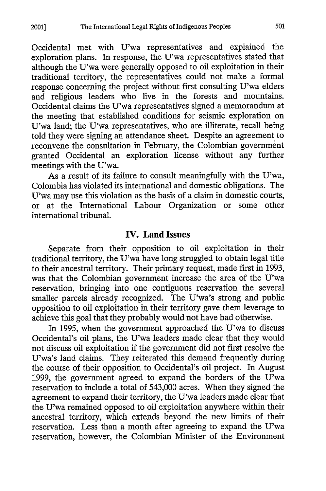Occidental met with U'wa representatives and explained the exploration plans. In response, the U'wa representatives stated that although the U'wa were generally opposed to oil exploitation in their traditional territory, the representatives could not make a formal response concerning the project without first consulting U'wa elders and religious leaders who live in the forests and mountains. Occidental claims the U'wa representatives signed a memorandum at the meeting that established conditions for seismic exploration on U'wa land; the U'wa representatives, who are illiterate, recall being told they were signing an attendance sheet. Despite an agreement to reconvene the consultation in February, the Colombian government granted Occidental an exploration license without any further meetings with the U'wa.

As a result of its failure to consult meaningfully with the U'wa, Colombia has violated its international and domestic obligations. The U'wa may use this violation as the basis of a claim in domestic courts, or at the International Labour Organization or some other international tribunal.

#### **IV. Land Issues**

Separate from their opposition to oil exploitation in their traditional territory, the U'wa have long struggled to obtain legal title to their ancestral territory. Their primary request, made first in 1993, was that the Colombian government increase the area of the U'wa reservation, bringing into one contiguous reservation the several smaller parcels already recognized. The U'wa's strong and public opposition to oil exploitation in their territory gave them leverage to achieve this goal that they probably would not have had otherwise.

In 1995, when the government approached the U'wa to discuss Occidental's oil plans, the U'wa leaders made clear that they would not discuss oil exploitation if the government did not first resolve the U'wa's land claims. They reiterated this demand frequently during the course of their opposition to Occidental's oil project. In August 1999, the government agreed to expand the borders of the U'wa reservation to include a total of 543,000 acres. When they signed the agreement to expand their territory, the U'wa leaders made clear that the U'wa remained opposed to oil exploitation anywhere within their ancestral territory, which extends beyond the new limits of their reservation. Less than a month after agreeing to expand the U'wa reservation, however, the Colombian Minister of the Environment